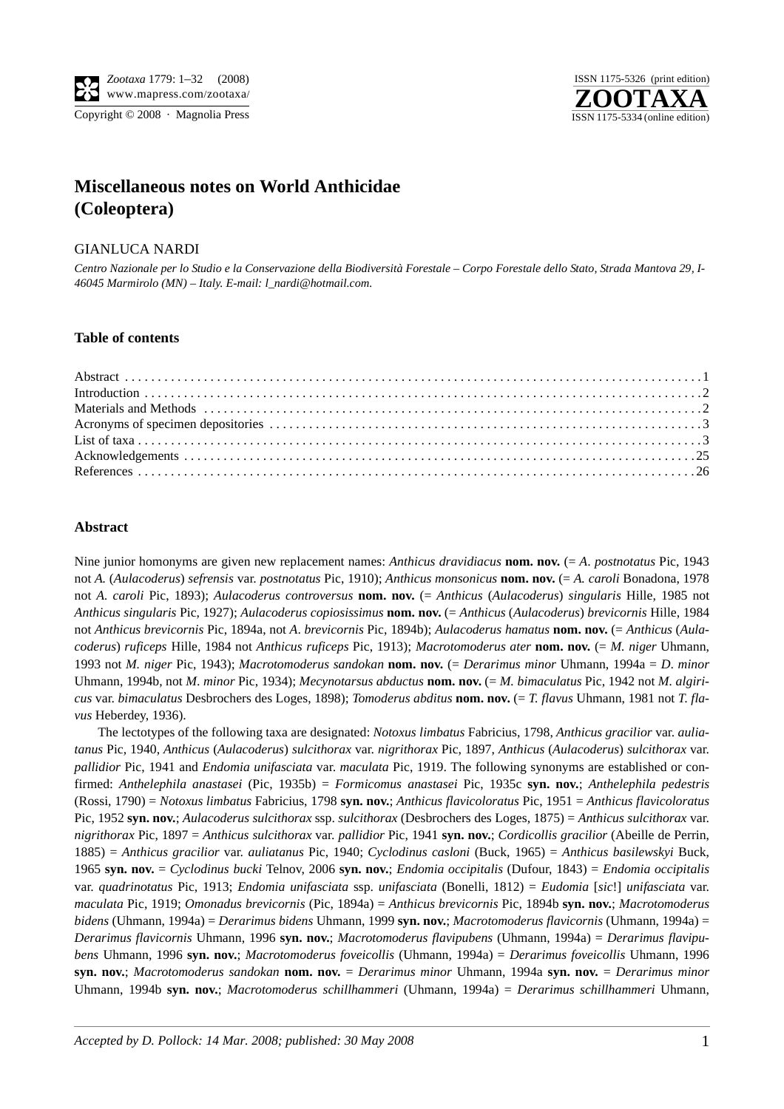



# **Miscellaneous notes on World Anthicidae (Coleoptera)**

## GIANLUCA NARDI

*Centro Nazionale per lo Studio e la Conservazione della Biodiversità Forestale – Corpo Forestale dello Stato, Strada Mantova 29, I-46045 Marmirolo (MN) – Italy. E-mail: l\_nardi@hotmail.com.*

#### **Table of contents**

## **Abstract**

Nine junior homonyms are given new replacement names: *Anthicus dravidiacus* **nom. nov.** (= *A*. *postnotatus* Pic, 1943 not *A.* (*Aulacoderus*) *sefrensis* var. *postnotatus* Pic, 1910); *Anthicus monsonicus* **nom. nov.** (= *A. caroli* Bonadona, 1978 not *A. caroli* Pic, 1893); *Aulacoderus controversus* **nom. nov.** (= *Anthicus* (*Aulacoderus*) *singularis* Hille, 1985 not *Anthicus singularis* Pic, 1927); *Aulacoderus copiosissimus* **nom. nov.** (= *Anthicus* (*Aulacoderus*) *brevicornis* Hille, 1984 not *Anthicus brevicornis* Pic, 1894a, not *A*. *brevicornis* Pic, 1894b); *Aulacoderus hamatus* **nom. nov.** (= *Anthicus* (*Aulacoderus*) *ruficeps* Hille, 1984 not *Anthicus ruficeps* Pic, 1913); *Macrotomoderus ater* **nom. nov.** (= *M. niger* Uhmann, 1993 not *M. niger* Pic, 1943); *Macrotomoderus sandokan* **nom. nov.** (= *Derarimus minor* Uhmann, 1994a = *D*. *minor* Uhmann, 1994b, not *M*. *minor* Pic, 1934); *Mecynotarsus abductus* **nom. nov.** (= *M. bimaculatus* Pic, 1942 not *M. algiricus* var. *bimaculatus* Desbrochers des Loges, 1898); *Tomoderus abditus* **nom. nov.** (= *T. flavus* Uhmann, 1981 not *T*. *flavus* Heberdey, 1936).

The lectotypes of the following taxa are designated: *Notoxus limbatus* Fabricius, 1798, *Anthicus gracilior* var. *auliatanus* Pic, 1940, *Anthicus* (*Aulacoderus*) *sulcithorax* var. *nigrithorax* Pic, 1897, *Anthicus* (*Aulacoderus*) *sulcithorax* var. *pallidior* Pic, 1941 and *Endomia unifasciata* var. *maculata* Pic, 1919. The following synonyms are established or confirmed: *Anthelephila anastasei* (Pic, 1935b) = *Formicomus anastasei* Pic, 1935c **syn. nov.**; *Anthelephila pedestris* (Rossi, 1790) = *Notoxus limbatus* Fabricius, 1798 **syn. nov.**; *Anthicus flavicoloratus* Pic, 1951 = *Anthicus flavicoloratus* Pic, 1952 **syn. nov.**; *Aulacoderus sulcithorax* ssp. *sulcithorax* (Desbrochers des Loges, 1875) = *Anthicus sulcithorax* var. *nigrithorax* Pic, 1897 = *Anthicus sulcithorax* var. *pallidior* Pic, 1941 **syn. nov.**; *Cordicollis gracilior* (Abeille de Perrin, 1885) = *Anthicus gracilior* var. *auliatanus* Pic, 1940; *Cyclodinus casloni* (Buck, 1965) = *Anthicus basilewskyi* Buck, 1965 **syn. nov.** = *Cyclodinus bucki* Telnov, 2006 **syn. nov.**; *Endomia occipitalis* (Dufour, 1843) = *Endomia occipitalis* var. *quadrinotatus* Pic, 1913; *Endomia unifasciata* ssp. *unifasciata* (Bonelli, 1812) = *Eudomia* [*sic*!] *unifasciata* var. *maculata* Pic, 1919; *Omonadus brevicornis* (Pic, 1894a) = *Anthicus brevicornis* Pic, 1894b **syn. nov.**; *Macrotomoderus bidens* (Uhmann, 1994a) = *Derarimus bidens* Uhmann, 1999 **syn. nov.**; *Macrotomoderus flavicornis* (Uhmann, 1994a) = *Derarimus flavicornis* Uhmann, 1996 **syn. nov.**; *Macrotomoderus flavipubens* (Uhmann, 1994a) = *Derarimus flavipubens* Uhmann, 1996 **syn. nov.**; *Macrotomoderus foveicollis* (Uhmann, 1994a) = *Derarimus foveicollis* Uhmann, 1996 **syn. nov.**; *Macrotomoderus sandokan* **nom. nov.** = *Derarimus minor* Uhmann, 1994a **syn. nov.** = *Derarimus minor* Uhmann, 1994b **syn. nov.**; *Macrotomoderus schillhammeri* (Uhmann, 1994a) = *Derarimus schillhammeri* Uhmann,